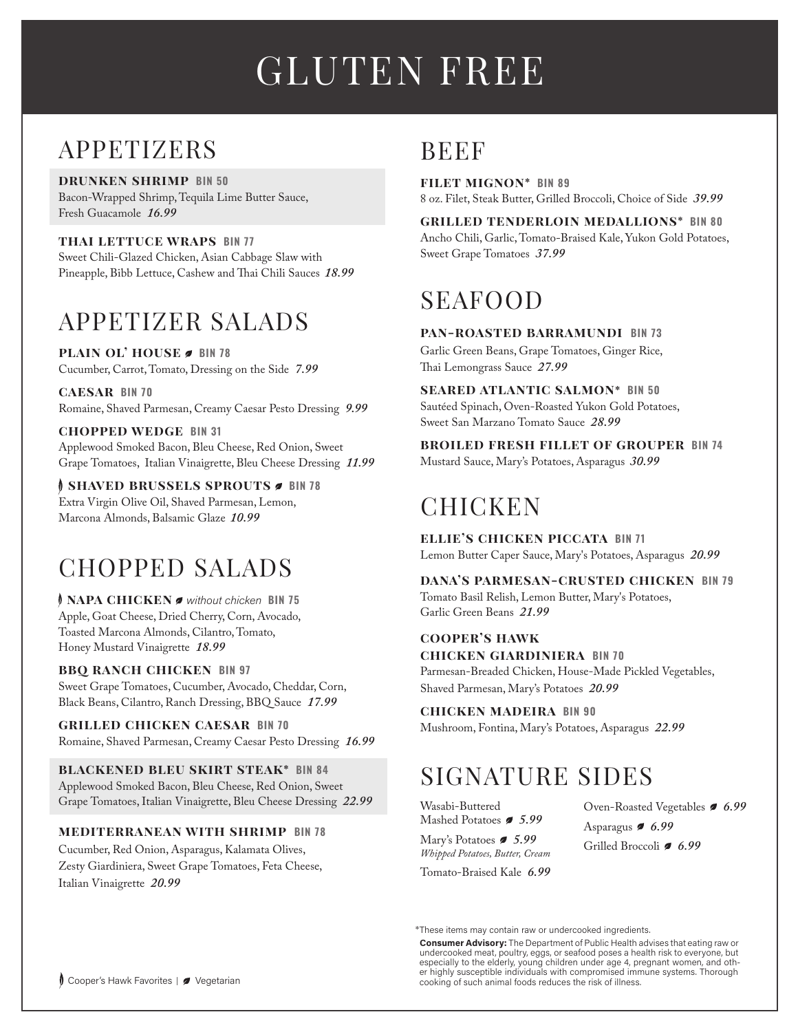# GLUTEN FREE

## APPETIZERS

**drunken shrimp BIN 50**  Bacon-Wrapped Shrimp, Tequila Lime Butter Sauce, Fresh Guacamole *16.99*

**thai lettuce wraps BIN 77** Sweet Chili-Glazed Chicken, Asian Cabbage Slaw with Pineapple, Bibb Lettuce, Cashew and Thai Chili Sauces *18.99*

## APPETIZER SALADS

**PLAIN OL' HOUSE**  BIN 78 Cucumber, Carrot, Tomato, Dressing on the Side *7.99*

**caesar BIN 70** Romaine, Shaved Parmesan, Creamy Caesar Pesto Dressing *9.99*

**chopped wedge BIN 31** Applewood Smoked Bacon, Bleu Cheese, Red Onion, Sweet Grape Tomatoes, Italian Vinaigrette, Bleu Cheese Dressing *11.99*

**f SHAVED BRUSSELS SPROUTS**  $\sigma$  **BIN 78** Extra Virgin Olive Oil, Shaved Parmesan, Lemon, Marcona Almonds, Balsamic Glaze *10.99*

## CHOPPED SALADS

f **napa chicken** *without chicken* **BIN 75** Apple, Goat Cheese, Dried Cherry, Corn, Avocado, Toasted Marcona Almonds, Cilantro, Tomato, Honey Mustard Vinaigrette *18.99* 

**bbq ranch chicken BIN 97** Sweet Grape Tomatoes, Cucumber, Avocado, Cheddar, Corn, Black Beans, Cilantro, Ranch Dressing, BBQ Sauce *17.99*

**grilled chicken caesar BIN 70** Romaine, Shaved Parmesan, Creamy Caesar Pesto Dressing *16.99*

**blackened bleu skirt steak\* BIN 84** Applewood Smoked Bacon, Bleu Cheese, Red Onion, Sweet Grape Tomatoes, Italian Vinaigrette, Bleu Cheese Dressing *22.99* 

**mediterranean with shrimp BIN 78**

Cucumber, Red Onion, Asparagus, Kalamata Olives, Zesty Giardiniera, Sweet Grape Tomatoes, Feta Cheese, Italian Vinaigrette *20.99* 

## **BEEF**

**filet mignon\* BIN 89** 8 oz. Filet, Steak Butter, Grilled Broccoli, Choice of Side *39.99*

**grilled tenderloin medallions\* BIN 80** Ancho Chili, Garlic, Tomato-Braised Kale, Yukon Gold Potatoes, Sweet Grape Tomatoes *37.99*

## SEAFOOD

**pan-roasted barramundi BIN 73** Garlic Green Beans, Grape Tomatoes, Ginger Rice, Thai Lemongrass Sauce *27.99*

**seared atlantic salmon\* BIN 50** Sautéed Spinach, Oven-Roasted Yukon Gold Potatoes, Sweet San Marzano Tomato Sauce *28.99*

**broiled fresh fillet of grouper BIN 74** Mustard Sauce, Mary's Potatoes, Asparagus *30.99*

## **CHICKEN**

**ellie's chicken piccata BIN 71** Lemon Butter Caper Sauce, Mary's Potatoes, Asparagus *20.99*

**dana's parmesan-crusted chicken BIN 79** Tomato Basil Relish, Lemon Butter, Mary's Potatoes, Garlic Green Beans *21.99*

**cooper's hawk chicken giardiniera BIN 70** Parmesan-Breaded Chicken, House-Made Pickled Vegetables, Shaved Parmesan, Mary's Potatoes *20.99*

**chicken madeira BIN 90** Mushroom, Fontina, Mary's Potatoes, Asparagus *22.99*

## SIGNATURE SIDES

Wasabi-Buttered Mashed Potatoes *5.99*

Mary's Potatoes *5.99 Whipped Potatoes, Butter, Cream* 

Tomato-Braised Kale *6.99*

Oven-Roasted Vegetables *6.99* Asparagus *6.99* Grilled Broccoli *6.99*

\*These items may contain raw or undercooked ingredients.

**Consumer Advisory:** The Department of Public Health advises that eating raw or undercooked meat, poultry, eggs, or seafood poses a health risk to everyone, but especially to the elderly, young children under age 4, pregnant women, and other highly susceptible individuals with compromised immune systems. Thorough cooking of such animal foods reduces the risk of illness.